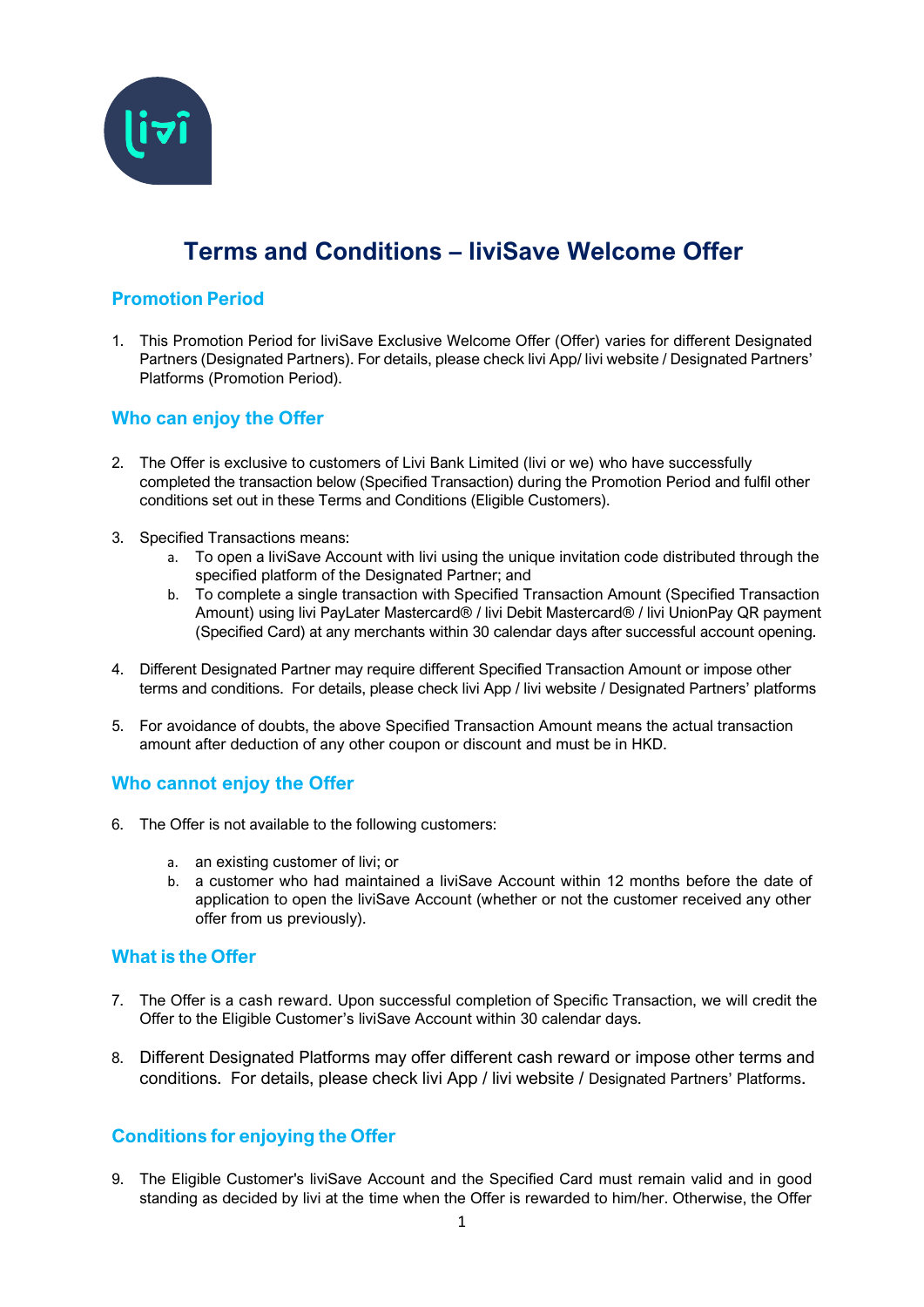

# **Terms and Conditions – liviSave Welcome Offer**

## **Promotion Period**

1. This Promotion Period for liviSave Exclusive Welcome Offer (Offer) varies for different Designated Partners (Designated Partners). For details, please check livi App/ livi website / Designated Partners' Platforms (Promotion Period).

### **Who can enjoy the Offer**

- 2. The Offer is exclusive to customers of Livi Bank Limited (livi or we) who have successfully completed the transaction below (Specified Transaction) during the Promotion Period and fulfil other conditions set out in these Terms and Conditions (Eligible Customers).
- 3. Specified Transactions means:
	- a. To open a liviSave Account with livi using the unique invitation code distributed through the specified platform of the Designated Partner; and
	- b. To complete a single transaction with Specified Transaction Amount (Specified Transaction Amount) using livi PayLater Mastercard® / livi Debit Mastercard® / livi UnionPay QR payment (Specified Card) at any merchants within 30 calendar days after successful account opening.
- 4. Different Designated Partner may require different Specified Transaction Amount or impose other terms and conditions. For details, please check livi App / livi website / Designated Partners' platforms
- 5. For avoidance of doubts, the above Specified Transaction Amount means the actual transaction amount after deduction of any other coupon or discount and must be in HKD.

# **Who cannot enjoy the Offer**

- 6. The Offer is not available to the following customers:
	- a. an existing customer of livi; or
	- b. a customer who had maintained a liviSave Account within 12 months before the date of application to open the liviSave Account (whether or not the customer received any other offer from us previously).

#### **What is the Offer**

- 7. The Offer is a cash reward. Upon successful completion of Specific Transaction, we will credit the Offer to the Eligible Customer's liviSave Account within 30 calendar days.
- 8. Different Designated Platforms may offer different cash reward or impose other terms and conditions. For details, please check livi App / livi website / Designated Partners' Platforms.

# **Conditions for enjoying the Offer**

9. The Eligible Customer's liviSave Account and the Specified Card must remain valid and in good standing as decided by livi at the time when the Offer is rewarded to him/her. Otherwise, the Offer